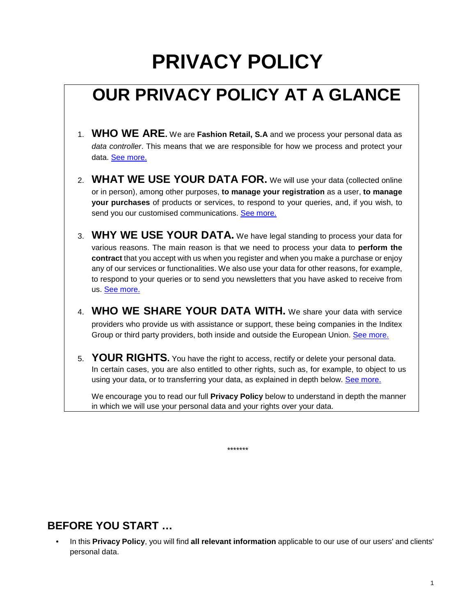# **PRIVACY POLICY**

# **OUR PRIVACY POLICY AT A GLANCE**

- 1. **WHO WE ARE.** We are **Fashion Retail, S.A** and we process your personal data as data controller. This means that we are responsible for how we process and protect your data. See more.
- 2. **WHAT WE USE YOUR DATA FOR.** We will use your data (collected online or in person), among other purposes, **to manage your registration** as a user, **to manage your purchases** of products or services, to respond to your queries, and, if you wish, to send you our customised communications. See more.
- 3. **WHY WE USE YOUR DATA.** We have legal standing to process your data for various reasons. The main reason is that we need to process your data to **perform the contract** that you accept with us when you register and when you make a purchase or enjoy any of our services or functionalities. We also use your data for other reasons, for example, to respond to your queries or to send you newsletters that you have asked to receive from us. See more.
- 4. **WHO WE SHARE YOUR DATA WITH.** We share your data with service providers who provide us with assistance or support, these being companies in the Inditex Group or third party providers, both inside and outside the European Union. See more.
- 5. **YOUR RIGHTS.** You have the right to access, rectify or delete your personal data. In certain cases, you are also entitled to other rights, such as, for example, to object to us using your data, or to transferring your data, as explained in depth below. See more.

We encourage you to read our full **Privacy Policy** below to understand in depth the manner in which we will use your personal data and your rights over your data.

\*\*\*\*\*\*\*

#### **BEFORE YOU START …**

• In this **Privacy Policy**, you will find **all relevant information** applicable to our use of our users' and clients' personal data.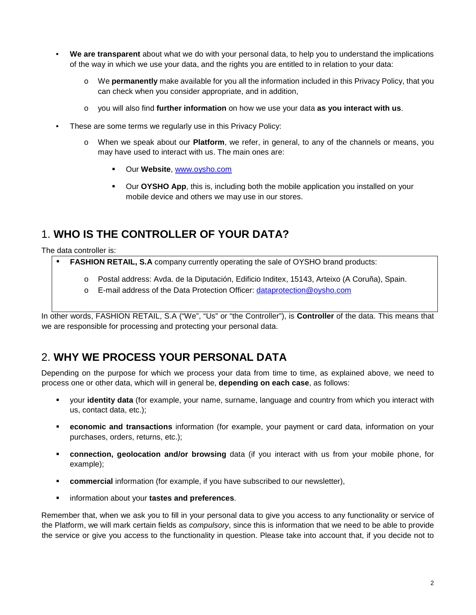- **We are transparent** about what we do with your personal data, to help you to understand the implications of the way in which we use your data, and the rights you are entitled to in relation to your data:
	- o We **permanently** make available for you all the information included in this Privacy Policy, that you can check when you consider appropriate, and in addition,
	- o you will also find **further information** on how we use your data **as you interact with us**.
- These are some terms we regularly use in this Privacy Policy:
	- o When we speak about our **Platform**, we refer, in general, to any of the channels or means, you may have used to interact with us. The main ones are:
		- Our **Website**, www.oysho.com
		- Our **OYSHO App**, this is, including both the mobile application you installed on your mobile device and others we may use in our stores.

# 1. **WHO IS THE CONTROLLER OF YOUR DATA?**

The data controller is:

- **FASHION RETAIL, S.A** company currently operating the sale of OYSHO brand products:
	- o Postal address: Avda. de la Diputación, Edificio Inditex, 15143, Arteixo (A Coruña), Spain.
	- o E-mail address of the Data Protection Officer: dataprotection@oysho.com

In other words, FASHION RETAIL, S.A ("We", "Us" or "the Controller"), is **Controller** of the data. This means that we are responsible for processing and protecting your personal data.

#### 2. **WHY WE PROCESS YOUR PERSONAL DATA**

Depending on the purpose for which we process your data from time to time, as explained above, we need to process one or other data, which will in general be, **depending on each case**, as follows:

- your **identity data** (for example, your name, surname, language and country from which you interact with us, contact data, etc.);
- **economic and transactions** information (for example, your payment or card data, information on your purchases, orders, returns, etc.);
- **connection, geolocation and/or browsing** data (if you interact with us from your mobile phone, for example);
- **Commercial** information (for example, if you have subscribed to our newsletter),
- information about your **tastes and preferences**.

Remember that, when we ask you to fill in your personal data to give you access to any functionality or service of the Platform, we will mark certain fields as *compulsory*, since this is information that we need to be able to provide the service or give you access to the functionality in question. Please take into account that, if you decide not to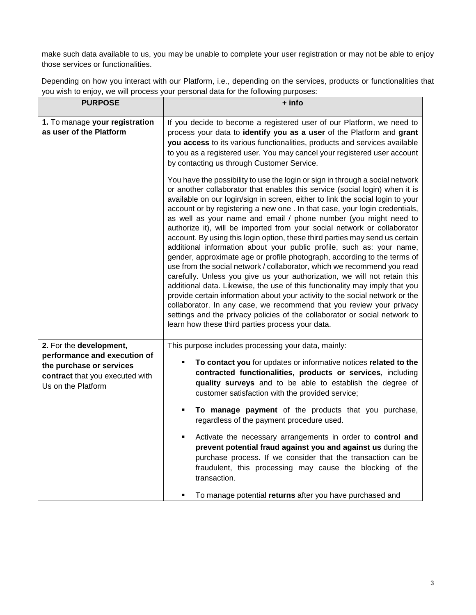make such data available to us, you may be unable to complete your user registration or may not be able to enjoy those services or functionalities.

Depending on how you interact with our Platform, i.e., depending on the services, products or functionalities that you wish to enjoy, we will process your personal data for the following purposes:

| <b>PURPOSE</b>                                                                                                                               | + info                                                                                                                                                                                                                                                                                                                                                                                                                                                                                                                                                                                                                                                                                                                                                                                                                                                                                                                                                                                                                                                                                                                                                                                                                                              |
|----------------------------------------------------------------------------------------------------------------------------------------------|-----------------------------------------------------------------------------------------------------------------------------------------------------------------------------------------------------------------------------------------------------------------------------------------------------------------------------------------------------------------------------------------------------------------------------------------------------------------------------------------------------------------------------------------------------------------------------------------------------------------------------------------------------------------------------------------------------------------------------------------------------------------------------------------------------------------------------------------------------------------------------------------------------------------------------------------------------------------------------------------------------------------------------------------------------------------------------------------------------------------------------------------------------------------------------------------------------------------------------------------------------|
| 1. To manage your registration<br>as user of the Platform                                                                                    | If you decide to become a registered user of our Platform, we need to<br>process your data to identify you as a user of the Platform and grant<br>you access to its various functionalities, products and services available<br>to you as a registered user. You may cancel your registered user account<br>by contacting us through Customer Service.                                                                                                                                                                                                                                                                                                                                                                                                                                                                                                                                                                                                                                                                                                                                                                                                                                                                                              |
|                                                                                                                                              | You have the possibility to use the login or sign in through a social network<br>or another collaborator that enables this service (social login) when it is<br>available on our login/sign in screen, either to link the social login to your<br>account or by registering a new one . In that case, your login credentials,<br>as well as your name and email / phone number (you might need to<br>authorize it), will be imported from your social network or collaborator<br>account. By using this login option, these third parties may send us certain<br>additional information about your public profile, such as: your name,<br>gender, approximate age or profile photograph, according to the terms of<br>use from the social network / collaborator, which we recommend you read<br>carefully. Unless you give us your authorization, we will not retain this<br>additional data. Likewise, the use of this functionality may imply that you<br>provide certain information about your activity to the social network or the<br>collaborator. In any case, we recommend that you review your privacy<br>settings and the privacy policies of the collaborator or social network to<br>learn how these third parties process your data. |
| 2. For the development,<br>performance and execution of<br>the purchase or services<br>contract that you executed with<br>Us on the Platform | This purpose includes processing your data, mainly:<br>To contact you for updates or informative notices related to the<br>contracted functionalities, products or services, including<br>quality surveys and to be able to establish the degree of<br>customer satisfaction with the provided service;<br>To manage payment of the products that you purchase,<br>٠<br>regardless of the payment procedure used.<br>Activate the necessary arrangements in order to control and<br>prevent potential fraud against you and against us during the<br>purchase process. If we consider that the transaction can be<br>fraudulent, this processing may cause the blocking of the<br>transaction.                                                                                                                                                                                                                                                                                                                                                                                                                                                                                                                                                      |
|                                                                                                                                              | To manage potential returns after you have purchased and                                                                                                                                                                                                                                                                                                                                                                                                                                                                                                                                                                                                                                                                                                                                                                                                                                                                                                                                                                                                                                                                                                                                                                                            |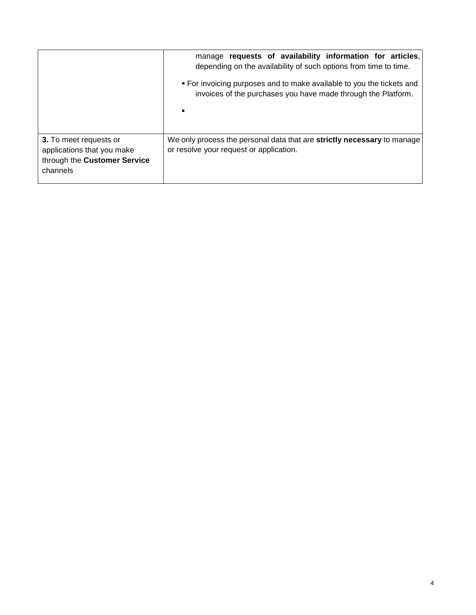|                                                                                                  | manage requests of availability information for articles,<br>depending on the availability of such options from time to time.<br>• For invoicing purposes and to make available to you the tickets and<br>invoices of the purchases you have made through the Platform. |
|--------------------------------------------------------------------------------------------------|-------------------------------------------------------------------------------------------------------------------------------------------------------------------------------------------------------------------------------------------------------------------------|
| 3. To meet requests or<br>applications that you make<br>through the Customer Service<br>channels | We only process the personal data that are strictly necessary to manage<br>or resolve your request or application.                                                                                                                                                      |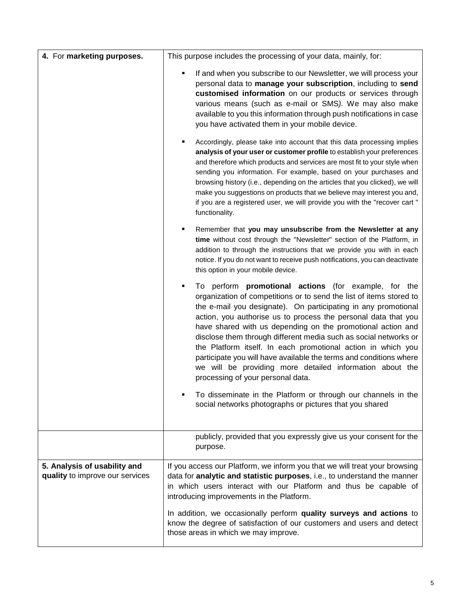| 4. For marketing purposes.                                      | This purpose includes the processing of your data, mainly, for:                                                                                                                                                                                                                                                                                                                                                                                                                                                                                                                                                                                       |  |  |
|-----------------------------------------------------------------|-------------------------------------------------------------------------------------------------------------------------------------------------------------------------------------------------------------------------------------------------------------------------------------------------------------------------------------------------------------------------------------------------------------------------------------------------------------------------------------------------------------------------------------------------------------------------------------------------------------------------------------------------------|--|--|
|                                                                 | If and when you subscribe to our Newsletter, we will process your<br>personal data to manage your subscription, including to send<br>customised information on our products or services through<br>various means (such as e-mail or SMS). We may also make<br>available to you this information through push notifications in case<br>you have activated them in your mobile device.                                                                                                                                                                                                                                                                  |  |  |
|                                                                 | Accordingly, please take into account that this data processing implies<br>analysis of your user or customer profile to establish your preferences<br>and therefore which products and services are most fit to your style when<br>sending you information. For example, based on your purchases and<br>browsing history (i.e., depending on the articles that you clicked), we will<br>make you suggestions on products that we believe may interest you and,<br>if you are a registered user, we will provide you with the "recover cart"<br>functionality.                                                                                         |  |  |
|                                                                 | Remember that you may unsubscribe from the Newsletter at any<br>time without cost through the "Newsletter" section of the Platform, in<br>addition to through the instructions that we provide you with in each<br>notice. If you do not want to receive push notifications, you can deactivate<br>this option in your mobile device.                                                                                                                                                                                                                                                                                                                 |  |  |
|                                                                 | To perform <b>promotional actions</b> (for example, for the<br>٠<br>organization of competitions or to send the list of items stored to<br>the e-mail you designate). On participating in any promotional<br>action, you authorise us to process the personal data that you<br>have shared with us depending on the promotional action and<br>disclose them through different media such as social networks or<br>the Platform itself. In each promotional action in which you<br>participate you will have available the terms and conditions where<br>we will be providing more detailed information about the<br>processing of your personal data. |  |  |
|                                                                 | To disseminate in the Platform or through our channels in the<br>social networks photographs or pictures that you shared                                                                                                                                                                                                                                                                                                                                                                                                                                                                                                                              |  |  |
|                                                                 | publicly, provided that you expressly give us your consent for the<br>purpose.                                                                                                                                                                                                                                                                                                                                                                                                                                                                                                                                                                        |  |  |
| 5. Analysis of usability and<br>quality to improve our services | If you access our Platform, we inform you that we will treat your browsing<br>data for analytic and statistic purposes, i.e., to understand the manner<br>in which users interact with our Platform and thus be capable of<br>introducing improvements in the Platform.                                                                                                                                                                                                                                                                                                                                                                               |  |  |
|                                                                 | In addition, we occasionally perform quality surveys and actions to<br>know the degree of satisfaction of our customers and users and detect<br>those areas in which we may improve.                                                                                                                                                                                                                                                                                                                                                                                                                                                                  |  |  |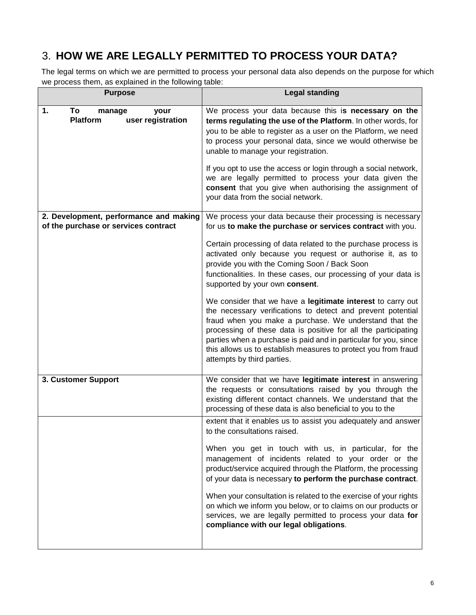# 3. **HOW WE ARE LEGALLY PERMITTED TO PROCESS YOUR DATA?**

The legal terms on which we are permitted to process your personal data also depends on the purpose for which we process them, as explained in the following table:

| <b>Purpose</b>                                              | <b>Legal standing</b>                                                                                                                                                                                                                                                                                                                                                                                                                                                                                                                                                                                                                                                                                                                                                       |
|-------------------------------------------------------------|-----------------------------------------------------------------------------------------------------------------------------------------------------------------------------------------------------------------------------------------------------------------------------------------------------------------------------------------------------------------------------------------------------------------------------------------------------------------------------------------------------------------------------------------------------------------------------------------------------------------------------------------------------------------------------------------------------------------------------------------------------------------------------|
| To<br>1.<br>manage<br>your<br>Platform<br>user registration | We process your data because this is necessary on the<br>terms regulating the use of the Platform. In other words, for<br>you to be able to register as a user on the Platform, we need<br>to process your personal data, since we would otherwise be<br>unable to manage your registration.<br>If you opt to use the access or login through a social network,<br>we are legally permitted to process your data given the<br>consent that you give when authorising the assignment of<br>your data from the social network.                                                                                                                                                                                                                                                |
| 2. Development, performance and making                      | We process your data because their processing is necessary                                                                                                                                                                                                                                                                                                                                                                                                                                                                                                                                                                                                                                                                                                                  |
| of the purchase or services contract                        | for us to make the purchase or services contract with you.<br>Certain processing of data related to the purchase process is<br>activated only because you request or authorise it, as to<br>provide you with the Coming Soon / Back Soon<br>functionalities. In these cases, our processing of your data is<br>supported by your own consent.<br>We consider that we have a legitimate interest to carry out<br>the necessary verifications to detect and prevent potential<br>fraud when you make a purchase. We understand that the<br>processing of these data is positive for all the participating<br>parties when a purchase is paid and in particular for you, since<br>this allows us to establish measures to protect you from fraud<br>attempts by third parties. |
|                                                             |                                                                                                                                                                                                                                                                                                                                                                                                                                                                                                                                                                                                                                                                                                                                                                             |
| 3. Customer Support                                         | We consider that we have legitimate interest in answering<br>the requests or consultations raised by you through the<br>existing different contact channels. We understand that the<br>processing of these data is also beneficial to you to the                                                                                                                                                                                                                                                                                                                                                                                                                                                                                                                            |
|                                                             | extent that it enables us to assist you adequately and answer<br>to the consultations raised.<br>When you get in touch with us, in particular, for the<br>management of incidents related to your order or the<br>product/service acquired through the Platform, the processing<br>of your data is necessary to perform the purchase contract.<br>When your consultation is related to the exercise of your rights<br>on which we inform you below, or to claims on our products or<br>services, we are legally permitted to process your data for<br>compliance with our legal obligations.                                                                                                                                                                                |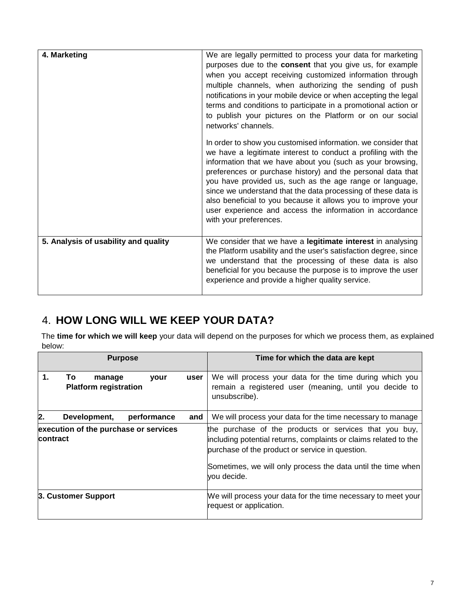| 4. Marketing                         | We are legally permitted to process your data for marketing<br>purposes due to the <b>consent</b> that you give us, for example<br>when you accept receiving customized information through<br>multiple channels, when authorizing the sending of push<br>notifications in your mobile device or when accepting the legal<br>terms and conditions to participate in a promotional action or<br>to publish your pictures on the Platform or on our social<br>networks' channels.                                                                |
|--------------------------------------|------------------------------------------------------------------------------------------------------------------------------------------------------------------------------------------------------------------------------------------------------------------------------------------------------------------------------------------------------------------------------------------------------------------------------------------------------------------------------------------------------------------------------------------------|
|                                      | In order to show you customised information. we consider that<br>we have a legitimate interest to conduct a profiling with the<br>information that we have about you (such as your browsing,<br>preferences or purchase history) and the personal data that<br>you have provided us, such as the age range or language,<br>since we understand that the data processing of these data is<br>also beneficial to you because it allows you to improve your<br>user experience and access the information in accordance<br>with your preferences. |
| 5. Analysis of usability and quality | We consider that we have a legitimate interest in analysing<br>the Platform usability and the user's satisfaction degree, since<br>we understand that the processing of these data is also<br>beneficial for you because the purpose is to improve the user<br>experience and provide a higher quality service.                                                                                                                                                                                                                                |

# 4. **HOW LONG WILL WE KEEP YOUR DATA?**

The **time for which we will keep** your data will depend on the purposes for which we process them, as explained below:

| <b>Purpose</b> |                                              |             |      | Time for which the data are kept                                                                                                                                                                                                                             |
|----------------|----------------------------------------------|-------------|------|--------------------------------------------------------------------------------------------------------------------------------------------------------------------------------------------------------------------------------------------------------------|
| 1.             | To<br>manage<br><b>Platform registration</b> | your        | user | We will process your data for the time during which you<br>remain a registered user (meaning, until you decide to<br>unsubscribe).                                                                                                                           |
| $\mathbf 2$ .  | Development,                                 | performance | and  | We will process your data for the time necessary to manage                                                                                                                                                                                                   |
| contract       | execution of the purchase or services        |             |      | the purchase of the products or services that you buy,<br>including potential returns, complaints or claims related to the<br>purchase of the product or service in question.<br>Sometimes, we will only process the data until the time when<br>you decide. |
|                | 3. Customer Support                          |             |      | We will process your data for the time necessary to meet your<br>request or application.                                                                                                                                                                     |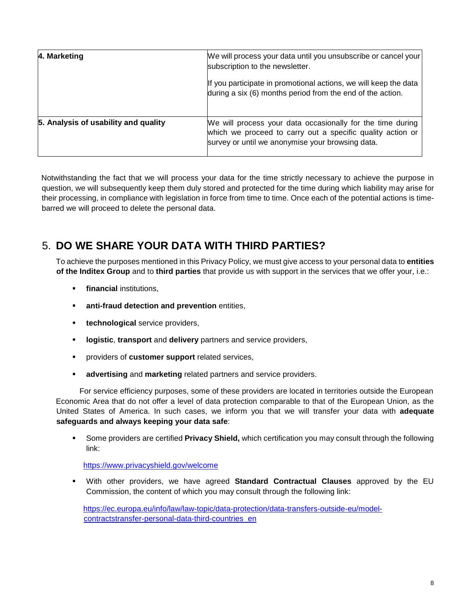| 4. Marketing                         | We will process your data until you unsubscribe or cancel your<br>subscription to the newsletter.                                                                            |
|--------------------------------------|------------------------------------------------------------------------------------------------------------------------------------------------------------------------------|
|                                      | If you participate in promotional actions, we will keep the data<br>during a six (6) months period from the end of the action.                                               |
| 5. Analysis of usability and quality | We will process your data occasionally for the time during<br>which we proceed to carry out a specific quality action or<br>survey or until we anonymise your browsing data. |

Notwithstanding the fact that we will process your data for the time strictly necessary to achieve the purpose in question, we will subsequently keep them duly stored and protected for the time during which liability may arise for their processing, in compliance with legislation in force from time to time. Once each of the potential actions is timebarred we will proceed to delete the personal data.

# 5. **DO WE SHARE YOUR DATA WITH THIRD PARTIES?**

To achieve the purposes mentioned in this Privacy Policy, we must give access to your personal data to **entities of the Inditex Group** and to **third parties** that provide us with support in the services that we offer your, i.e.:

- **financial** institutions.
- **anti-fraud detection and prevention entities,**
- **technological** service providers,
- **logistic**, **transport** and **delivery** partners and service providers,
- providers of **customer support** related services,
- **advertising** and **marketing** related partners and service providers.

For service efficiency purposes, some of these providers are located in territories outside the European Economic Area that do not offer a level of data protection comparable to that of the European Union, as the United States of America. In such cases, we inform you that we will transfer your data with **adequate safeguards and always keeping your data safe**:

 Some providers are certified **Privacy Shield,** which certification you may consult through the following link:

https://www.privacyshield.gov/welcome

 With other providers, we have agreed **Standard Contractual Clauses** approved by the EU Commission, the content of which you may consult through the following link:

https://ec.europa.eu/info/law/law-topic/data-protection/data-transfers-outside-eu/modelcontractstransfer-personal-data-third-countries\_en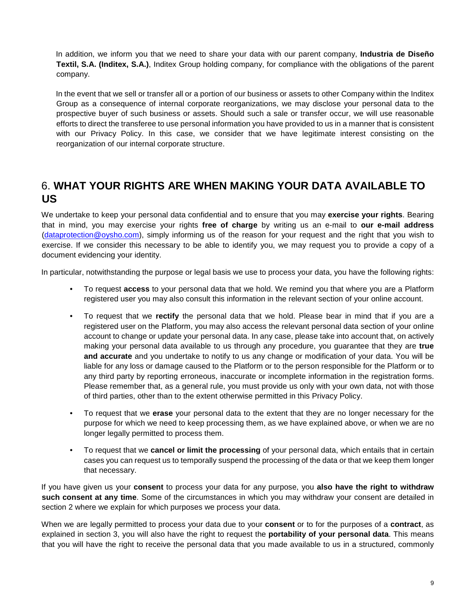In addition, we inform you that we need to share your data with our parent company, **Industria de Diseño Textil, S.A. (Inditex, S.A.)**, Inditex Group holding company, for compliance with the obligations of the parent company.

In the event that we sell or transfer all or a portion of our business or assets to other Company within the Inditex Group as a consequence of internal corporate reorganizations, we may disclose your personal data to the prospective buyer of such business or assets. Should such a sale or transfer occur, we will use reasonable efforts to direct the transferee to use personal information you have provided to us in a manner that is consistent with our Privacy Policy. In this case, we consider that we have legitimate interest consisting on the reorganization of our internal corporate structure.

#### 6. **WHAT YOUR RIGHTS ARE WHEN MAKING YOUR DATA AVAILABLE TO US**

We undertake to keep your personal data confidential and to ensure that you may **exercise your rights**. Bearing that in mind, you may exercise your rights **free of charge** by writing us an e-mail to **our e-mail address** (dataprotection@oysho.com), simply informing us of the reason for your request and the right that you wish to exercise. If we consider this necessary to be able to identify you, we may request you to provide a copy of a document evidencing your identity.

In particular, notwithstanding the purpose or legal basis we use to process your data, you have the following rights:

- To request **access** to your personal data that we hold. We remind you that where you are a Platform registered user you may also consult this information in the relevant section of your online account.
- To request that we **rectify** the personal data that we hold. Please bear in mind that if you are a registered user on the Platform, you may also access the relevant personal data section of your online account to change or update your personal data. In any case, please take into account that, on actively making your personal data available to us through any procedure, you guarantee that they are **true and accurate** and you undertake to notify to us any change or modification of your data. You will be liable for any loss or damage caused to the Platform or to the person responsible for the Platform or to any third party by reporting erroneous, inaccurate or incomplete information in the registration forms. Please remember that, as a general rule, you must provide us only with your own data, not with those of third parties, other than to the extent otherwise permitted in this Privacy Policy.
- To request that we **erase** your personal data to the extent that they are no longer necessary for the purpose for which we need to keep processing them, as we have explained above, or when we are no longer legally permitted to process them.
- To request that we **cancel or limit the processing** of your personal data, which entails that in certain cases you can request us to temporally suspend the processing of the data or that we keep them longer that necessary.

If you have given us your **consent** to process your data for any purpose, you **also have the right to withdraw such consent at any time**. Some of the circumstances in which you may withdraw your consent are detailed in section 2 where we explain for which purposes we process your data.

When we are legally permitted to process your data due to your **consent** or to for the purposes of a **contract**, as explained in section 3, you will also have the right to request the **portability of your personal data**. This means that you will have the right to receive the personal data that you made available to us in a structured, commonly